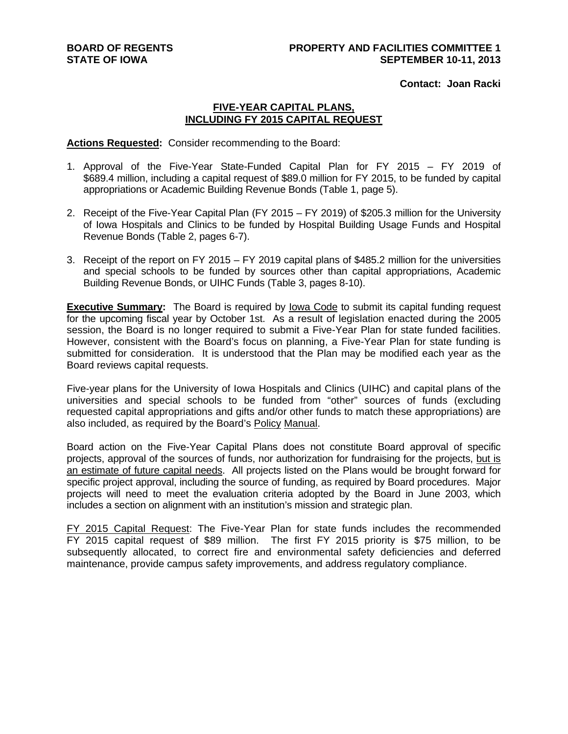**Contact: Joan Racki**

### **FIVE-YEAR CAPITAL PLANS, INCLUDING FY 2015 CAPITAL REQUEST**

**Actions Requested:** Consider recommending to the Board:

- 1. Approval of the Five-Year State-Funded Capital Plan for FY 2015 FY 2019 of \$689.4 million, including a capital request of \$89.0 million for FY 2015, to be funded by capital appropriations or Academic Building Revenue Bonds (Table 1, page 5).
- 2. Receipt of the Five-Year Capital Plan (FY 2015 FY 2019) of \$205.3 million for the University of Iowa Hospitals and Clinics to be funded by Hospital Building Usage Funds and Hospital Revenue Bonds (Table 2, pages 6-7).
- 3. Receipt of the report on FY 2015 FY 2019 capital plans of \$485.2 million for the universities and special schools to be funded by sources other than capital appropriations, Academic Building Revenue Bonds, or UIHC Funds (Table 3, pages 8-10).

**Executive Summary:** The Board is required by Iowa Code to submit its capital funding request for the upcoming fiscal year by October 1st. As a result of legislation enacted during the 2005 session, the Board is no longer required to submit a Five-Year Plan for state funded facilities. However, consistent with the Board's focus on planning, a Five-Year Plan for state funding is submitted for consideration. It is understood that the Plan may be modified each year as the Board reviews capital requests.

Five-year plans for the University of Iowa Hospitals and Clinics (UIHC) and capital plans of the universities and special schools to be funded from "other" sources of funds (excluding requested capital appropriations and gifts and/or other funds to match these appropriations) are also included, as required by the Board's Policy Manual.

Board action on the Five-Year Capital Plans does not constitute Board approval of specific projects, approval of the sources of funds, nor authorization for fundraising for the projects, but is an estimate of future capital needs. All projects listed on the Plans would be brought forward for specific project approval, including the source of funding, as required by Board procedures. Major projects will need to meet the evaluation criteria adopted by the Board in June 2003, which includes a section on alignment with an institution's mission and strategic plan.

FY 2015 Capital Request: The Five-Year Plan for state funds includes the recommended FY 2015 capital request of \$89 million. The first FY 2015 priority is \$75 million, to be subsequently allocated, to correct fire and environmental safety deficiencies and deferred maintenance, provide campus safety improvements, and address regulatory compliance.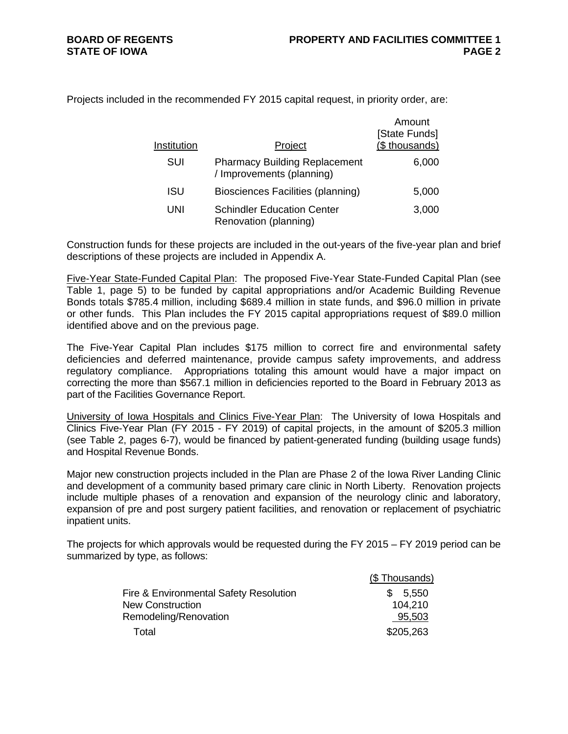Projects included in the recommended FY 2015 capital request, in priority order, are:

| Institution | Project                                                           | Amount<br>[State Funds]<br>(\$ thousands) |
|-------------|-------------------------------------------------------------------|-------------------------------------------|
| SUI         | <b>Pharmacy Building Replacement</b><br>/ Improvements (planning) | 6,000                                     |
| <b>ISU</b>  | Biosciences Facilities (planning)                                 | 5,000                                     |
| UNI         | <b>Schindler Education Center</b><br>Renovation (planning)        | 3,000                                     |

Construction funds for these projects are included in the out-years of the five-year plan and brief descriptions of these projects are included in Appendix A.

Five-Year State-Funded Capital Plan: The proposed Five-Year State-Funded Capital Plan (see Table 1, page 5) to be funded by capital appropriations and/or Academic Building Revenue Bonds totals \$785.4 million, including \$689.4 million in state funds, and \$96.0 million in private or other funds. This Plan includes the FY 2015 capital appropriations request of \$89.0 million identified above and on the previous page.

The Five-Year Capital Plan includes \$175 million to correct fire and environmental safety deficiencies and deferred maintenance, provide campus safety improvements, and address regulatory compliance. Appropriations totaling this amount would have a major impact on correcting the more than \$567.1 million in deficiencies reported to the Board in February 2013 as part of the Facilities Governance Report.

University of Iowa Hospitals and Clinics Five-Year Plan: The University of Iowa Hospitals and Clinics Five-Year Plan (FY 2015 - FY 2019) of capital projects, in the amount of \$205.3 million (see Table 2, pages 6-7), would be financed by patient-generated funding (building usage funds) and Hospital Revenue Bonds.

Major new construction projects included in the Plan are Phase 2 of the Iowa River Landing Clinic and development of a community based primary care clinic in North Liberty. Renovation projects include multiple phases of a renovation and expansion of the neurology clinic and laboratory, expansion of pre and post surgery patient facilities, and renovation or replacement of psychiatric inpatient units.

The projects for which approvals would be requested during the FY 2015 – FY 2019 period can be summarized by type, as follows:

|                                        | (\$Thousands) |
|----------------------------------------|---------------|
| Fire & Environmental Safety Resolution | 5,550<br>SS.  |
| <b>New Construction</b>                | 104.210       |
| Remodeling/Renovation                  | 95,503        |
| Total                                  | \$205,263     |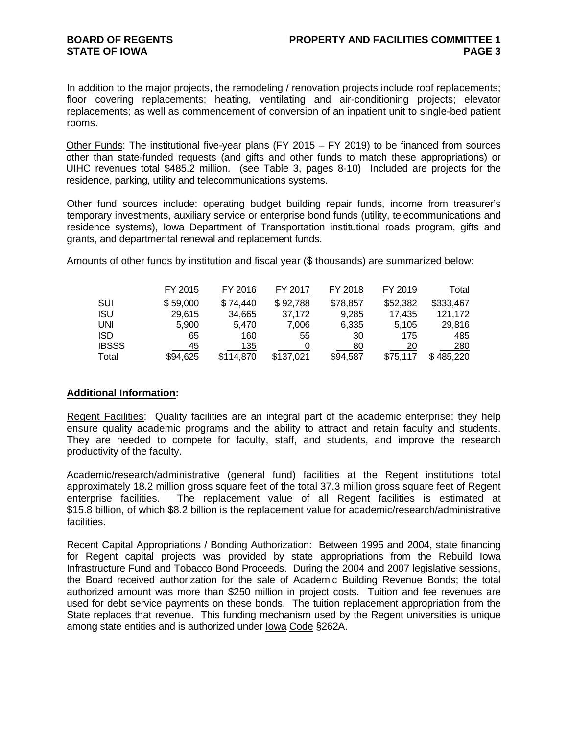In addition to the major projects, the remodeling / renovation projects include roof replacements; floor covering replacements; heating, ventilating and air-conditioning projects; elevator replacements; as well as commencement of conversion of an inpatient unit to single-bed patient rooms.

Other Funds: The institutional five-year plans (FY 2015 – FY 2019) to be financed from sources other than state-funded requests (and gifts and other funds to match these appropriations) or UIHC revenues total \$485.2 million. (see Table 3, pages 8-10) Included are projects for the residence, parking, utility and telecommunications systems.

Other fund sources include: operating budget building repair funds, income from treasurer's temporary investments, auxiliary service or enterprise bond funds (utility, telecommunications and residence systems), Iowa Department of Transportation institutional roads program, gifts and grants, and departmental renewal and replacement funds.

Amounts of other funds by institution and fiscal year (\$ thousands) are summarized below:

|              | FY 2015  | FY 2016   | FY 2017   | FY 2018  | FY 2019  | <u>Total</u> |
|--------------|----------|-----------|-----------|----------|----------|--------------|
| SUI          | \$59,000 | \$74,440  | \$92,788  | \$78,857 | \$52,382 | \$333,467    |
| <b>ISU</b>   | 29,615   | 34,665    | 37,172    | 9,285    | 17,435   | 121,172      |
| UNI          | 5,900    | 5.470     | 7,006     | 6.335    | 5.105    | 29,816       |
| <b>ISD</b>   | 65       | 160       | 55        | 30       | 175      | 485          |
| <b>IBSSS</b> | 45       | 135       |           | 80       | 20       | 280          |
| Total        | \$94,625 | \$114,870 | \$137,021 | \$94,587 | \$75,117 | \$485,220    |

### **Additional Information:**

Regent Facilities:Quality facilities are an integral part of the academic enterprise; they help ensure quality academic programs and the ability to attract and retain faculty and students. They are needed to compete for faculty, staff, and students, and improve the research productivity of the faculty.

Academic/research/administrative (general fund) facilities at the Regent institutions total approximately 18.2 million gross square feet of the total 37.3 million gross square feet of Regent enterprise facilities. The replacement value of all Regent facilities is estimated at \$15.8 billion, of which \$8.2 billion is the replacement value for academic/research/administrative facilities.

Recent Capital Appropriations / Bonding Authorization: Between 1995 and 2004, state financing for Regent capital projects was provided by state appropriations from the Rebuild Iowa Infrastructure Fund and Tobacco Bond Proceeds. During the 2004 and 2007 legislative sessions, the Board received authorization for the sale of Academic Building Revenue Bonds; the total authorized amount was more than \$250 million in project costs. Tuition and fee revenues are used for debt service payments on these bonds. The tuition replacement appropriation from the State replaces that revenue. This funding mechanism used by the Regent universities is unique among state entities and is authorized under Iowa Code §262A.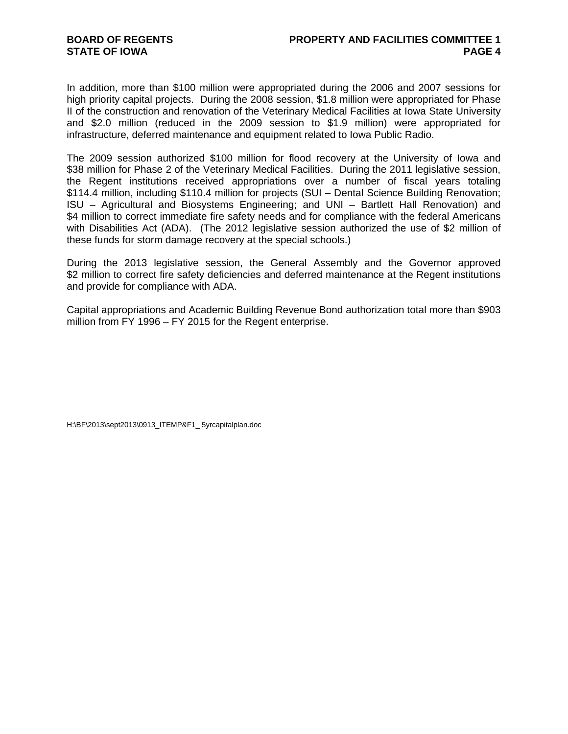In addition, more than \$100 million were appropriated during the 2006 and 2007 sessions for high priority capital projects. During the 2008 session, \$1.8 million were appropriated for Phase II of the construction and renovation of the Veterinary Medical Facilities at Iowa State University and \$2.0 million (reduced in the 2009 session to \$1.9 million) were appropriated for infrastructure, deferred maintenance and equipment related to Iowa Public Radio.

The 2009 session authorized \$100 million for flood recovery at the University of Iowa and \$38 million for Phase 2 of the Veterinary Medical Facilities. During the 2011 legislative session, the Regent institutions received appropriations over a number of fiscal years totaling \$114.4 million, including \$110.4 million for projects (SUI – Dental Science Building Renovation; ISU – Agricultural and Biosystems Engineering; and UNI – Bartlett Hall Renovation) and \$4 million to correct immediate fire safety needs and for compliance with the federal Americans with Disabilities Act (ADA). (The 2012 legislative session authorized the use of \$2 million of these funds for storm damage recovery at the special schools.)

During the 2013 legislative session, the General Assembly and the Governor approved \$2 million to correct fire safety deficiencies and deferred maintenance at the Regent institutions and provide for compliance with ADA.

Capital appropriations and Academic Building Revenue Bond authorization total more than \$903 million from FY 1996 – FY 2015 for the Regent enterprise.

H:\BF\2013\sept2013\0913\_ITEMP&F1\_ 5yrcapitalplan.doc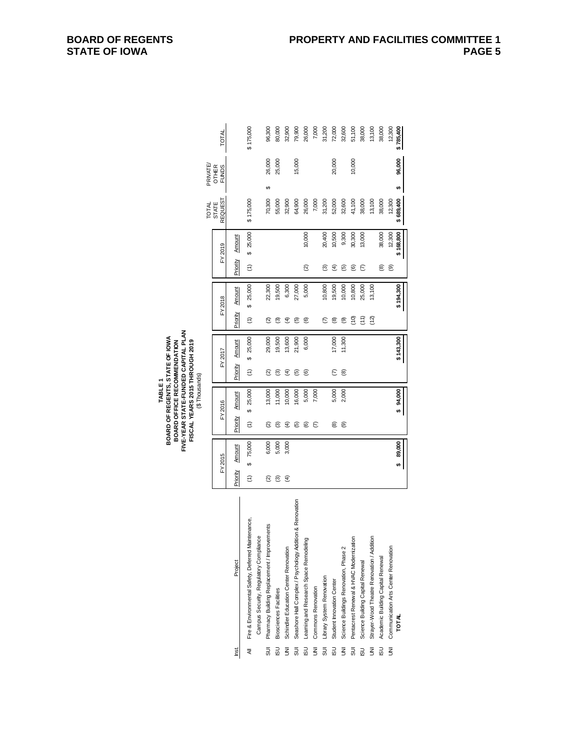| FY 2016<br>FY 2015           |
|------------------------------|
| Amount<br>Priority<br>Amount |
| \$25,000<br>Ξ<br>75,000<br>⇔ |
|                              |
| 13,000<br>ତ୍ର<br>6,000       |
| 11,000<br>ື<br>5,000         |
| 10,000<br>€<br>3,000         |
| 16,000<br>6                  |
| ම                            |
| ε                            |
|                              |
| ⊛                            |
| ම                            |
|                              |
|                              |
|                              |
|                              |
|                              |
| \$4,000<br>89,000<br>÷       |
|                              |

**BOARD OF REGENTS, STATE OF IOWA FIVE-YEAR STATE-FUNDED CAPITAL PLAN FISCAL YEARS 2015 THROUGH 2019** (\$ Thousands) **TABLE 1<br>BOARD OF REGENTS, STATE OF IOWA**<br>BOARD OFFICE RECOMMENDATION<br>FIVE-YEAR STATE-FUNDED CAPITAL PLAN<br>FISCAL YEARS 2015 THR OUGH 2019 **BOARD OFFICE RECOMMENDATION**

**BOARD OF REGENTS STATE OF IOWA**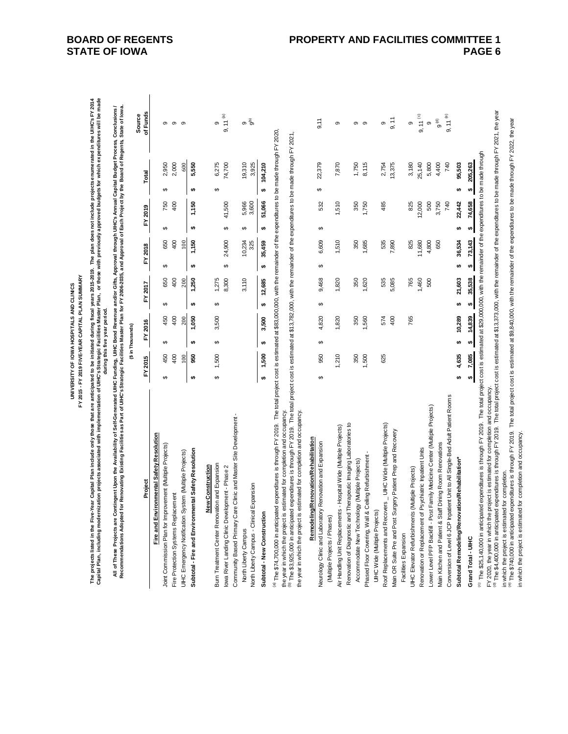| <b>UNIVERSITY OF IOWA HOSPITALS AND CLINICS</b> | FY 2019 FIVE-YEAR CAPITAL PLAN SUMMARY<br>FY 2015 - I |
|-------------------------------------------------|-------------------------------------------------------|
|                                                 |                                                       |

The projects listed in the Five-Year Capital Plan include only those that are anticipated to be initiated during fiscal years 2015-2019. The plan does not include projects enumerated in the UHC's FY 2014<br>Capital Plan, incl **Capital Plan, including modernization projects associated with implementation of UIHC's Strategic Facilities Master Plan, or those with previously approved budgets for which expenditures will be made The projects listed in the Five-Year Capital Plan include only those that are anticipated to be initiated during fiscal years 2015-2019. The plan does not include projects enumerated in the UIHC's FY 2014** 

All of These Projects are Contingent Upon the Availability of Seir-Generated UIHC Enning, UIHC Bond Revenue and/or Gifts, Approval through UIHC's Amual Capital Budget Process, Conclusions /<br>Recommendations Adopted for Reno **All of These Projects are Contingent Upon the Availability of Self-Generated UIHC Funding, UIHC Bond Revenue and/or Gifts, Approval through UIHC's Annual Capital Budget Process, Conclusions / Recommendations Adopted for Renovating Existing Facilities as Part of UIHC's Strategic Facilities Master Plan for FY 2006-2035, and Approval of Each Project by the Board of Regents, State of Iowa.during this five year period.**

|                                                                                                                                                                                                                                                                            |     |              | (\$ in Thousands) |           |    |         |    |         |    |             |    |         | Source     |  |
|----------------------------------------------------------------------------------------------------------------------------------------------------------------------------------------------------------------------------------------------------------------------------|-----|--------------|-------------------|-----------|----|---------|----|---------|----|-------------|----|---------|------------|--|
| Project                                                                                                                                                                                                                                                                    |     | FY 2015      |                   | 2016<br>ŗ |    | FY 2017 |    | FY 2018 |    | FY 2019     |    | Total   | of Funds   |  |
| ronmental Safety Resolution<br>Fire and Envi                                                                                                                                                                                                                               |     |              |                   |           |    |         |    |         |    |             |    |         |            |  |
| Joint Commission Plan for Improvement (Multiple Projects)                                                                                                                                                                                                                  | မာ  | 450          | မာ                | 450       | ↔  | 650     | မာ | 650     | မာ | 750         | ↔  | 2,950   | თ          |  |
| Fire Protection Systems Replacement                                                                                                                                                                                                                                        |     | $rac{40}{5}$ |                   | 400       |    | 400     |    | 400     |    | $rac{1}{2}$ |    | 2,000   | တ          |  |
| UIHC Emergency Notification System (Multiple Projects)                                                                                                                                                                                                                     |     | 100          |                   | 200       |    | 200     |    | 100     |    |             |    | 600     | တ          |  |
| Subtotal - Fire and Environmental Safety Resolution                                                                                                                                                                                                                        | ta, | 950          | မာ                | 1,050     | ↮  | 1,250   | ↮  | 1,150   | ₩  | 1,150       | မာ | 5,550   |            |  |
| <b>New Construction</b>                                                                                                                                                                                                                                                    |     |              |                   |           |    |         |    |         |    |             |    |         |            |  |
| ion and Expansion<br>Burn Treatment Center Renovat                                                                                                                                                                                                                         | ↮   | 1,500        | ↔                 | 3,500     | ↔  | ,275    |    |         |    |             | ↔  | 6,275   | တ          |  |
| lowa River Landing Clinic Development - Phase 2                                                                                                                                                                                                                            |     |              |                   |           |    | 8,300   | ↔  | 24,900  | ↔  | 41,500      |    | 74,700  | T<br>9, 11 |  |
| Community Based Primary Care Clinic and Master Site Development -                                                                                                                                                                                                          |     |              |                   |           |    |         |    |         |    |             |    |         |            |  |
| North Liberty Campus                                                                                                                                                                                                                                                       |     |              |                   |           |    | 3,110   |    | 10,234  | မာ | 5,966       |    | 19,310  | თ          |  |
| Expansion<br>North Liberty Campus - Clinical                                                                                                                                                                                                                               |     |              |                   |           |    |         |    | 325     |    | 3,600       |    | 3,925   | e<br>O     |  |
| Subtotal - New Construction                                                                                                                                                                                                                                                | ₩   | 1,500        | မာ                | 3,500     | tA | 12,685  | tA | 35,459  | tA | 51,066      | s, | 104,210 |            |  |
| <sup>(a)</sup> The \$74,700,000 in anticipated expenditures is through FY 2019. The total project cost is estimated at \$83,000,000, with the remainder of the expenditures to be made through FY 2020.                                                                    |     |              |                   |           |    |         |    |         |    |             |    |         |            |  |
| expenditures is through FY 2019. The total project cost is estimated at \$13,782,000, with the remainder of the expenditures to be made through FY 2021,<br>the year in which the project is estimated for completion and occupancy.<br>(b) The \$3,925,000 in anticipated |     |              |                   |           |    |         |    |         |    |             |    |         |            |  |
| the year in which the project is estimated for completion and occupancy                                                                                                                                                                                                    |     |              |                   |           |    |         |    |         |    |             |    |         |            |  |
| Remodeling/Renovation/Rehabilitation                                                                                                                                                                                                                                       |     |              |                   |           |    |         |    |         |    |             |    |         |            |  |
| Renovation and Expansion<br>Neurology Clinic and Laboratory                                                                                                                                                                                                                | ↔   | 950          | ↔                 | 4,820     | ↔  | 9,468   | ↔  | 6,609   | ↔  | 532         | ↔  | 22,379  | 9,11       |  |
| (Multiple Projects / Phases)                                                                                                                                                                                                                                               |     |              |                   |           |    |         |    |         |    |             |    |         |            |  |
| Air Handling Unit Replacements - Hospital Wide (Multiple Projects)                                                                                                                                                                                                         |     | 210          |                   | 1,820     |    | 1,820   |    | 1,510   |    | 1,510       |    | 7,870   | တ          |  |
| Renovation of Diagnostic and Therapeutic Imaging Laboratories to                                                                                                                                                                                                           |     |              |                   |           |    |         |    |         |    |             |    |         |            |  |
| Accommodate New Technology (Multiple Projects)                                                                                                                                                                                                                             |     | 350          |                   | 350       |    | 350     |    | 350     |    | 350         |    | 1,750   | თ          |  |
| Phased Floor Covering, Wall & Ceiling Refurbishment                                                                                                                                                                                                                        |     | 500          |                   | 560       |    | 1,620   |    | 1,685   |    | 1,750       |    | 8,115   | ၜ          |  |
| UIHC Wide (Multiple Projects)                                                                                                                                                                                                                                              |     |              |                   |           |    |         |    |         |    |             |    |         |            |  |
| Roof Replacements and Recovers _ UIHC Wide (Multiple Projects)                                                                                                                                                                                                             |     | 625          |                   | 574       |    | 535     |    | 535     |    | 485         |    | 2,754   | တ          |  |
| Main OR Suite Pre and Post Surgery Patient Prep and Recovery                                                                                                                                                                                                               |     |              |                   | 400       |    | 5,085   |    | 7,890   |    |             |    | 13,375  | 9, 11      |  |

(c) The \$25,140,000 in anticipated expenditures is through FY 2019. The total project cost is estimated at \$29,000,000, with the remainder of the expenditures to be made through <sup>ic)</sup> The \$25,140,000 in anticipated expenditures is through FY 2019. The total project cost is estimated at \$29,000,000, with the remainder of the expenditures to be made through  $$ 14,839$ 

**Subtotal Remodeling/Renovation/Rehabilitation\* 4,635 \$ 10,289 \$ 21,603 \$ 36,534 \$ 22,442 \$ 95,503 \$ Grand Total - UIHC 7,085 \$ 14,839 \$ 35,538 \$ 73,143 \$ 74,658 \$ 205,263 \$** 

Conversion of Level 6 JCP Inpatient Unit to All Single-Bed Adult Patient Rooms

Subtotal Remodeling/Renovation/Rehabilitation\*

Grand Total - UIHC

Lower Level PFP Backfill - Post Family Medicine Center (Multiple Projects)

Main Kitchen and Patient & Staff Dining Room Renovations Renovation or Replacement of Psychiatric Inpatient Units

 $$4,635$ 7,085  $\bullet$  FY 2020, the year in which the project is estimated for completion and occupancy. FY 2020, the year in which the project is estimated for completion and occupancy.

<sup>(e)</sup> The \$4,400,000 in anticipated expenditures is through FY 2019. The total project cost is estimated at \$13,373,000, with the remainder of the expenditures to be made through FY 2021, the year [1] The \$4,400,000 in anticipated expenditures is through FY 2019. The total project cost is estimated at \$13,373,000, with the remainder of the expenditures to be made through FY 2021, the year in which the project is estimated for completion.<br><sup>⊛</sup> The \$740,000 in anticipated expenditures is through FY 2019. The total project cost is estimated at \$9,840,000, with the remainder of the expenditures to be made throu in which the project is estimated for completion.

(e) The \$740,000 in anticipated expenditures is through FY 2019. The total project cost is estimated at \$9,840,000, with the remainder of the expenditures to be made through FY 2022, the year

9, 11 (c)<br>9 (d)<br>9, 11 (e)<br>9, 11 (e)

3,750 500 740

 $$205,263$ ÷

 $$74,658$ 

22,442

 $\bullet$ 

 $$36,534$  $$73,143$ 

 $$21,603$  $$35,538$ 

 $$ 10,289$ 

 $\circ$ 

25,140 3,180 5,800 4,400 740 95,503

825<br>12,000

11,680 825 4,800 650

765<br>1,460 500

Facilities Expansion

Facilities Expansion

UIHC Elevator Refurbishments (Multiple Projects)

UIHC Elevator Refurbishments (Multiple Projects) 765 765 825 825 825 3,180 9,180 9 Renovation or Replacement of Psychiatric Inpatient Units 1,460  $1,460$  1,460  $12,740$  25,140  $25,140$ Lower Level PFP Backfill - Post Family Medicine Center (Multiple Projects) 500 4,800 500 5,800 9 Nain Kitchen and Patient & Staff Dining Room Renovations 650 3,750 4,400 9 (d) Conversion of Level 6 JCP Inpatient Unit to All Single-Bed Adult Patient Rooms 740  $740$  Patient Rooms 740  $9, 11$  (e)

765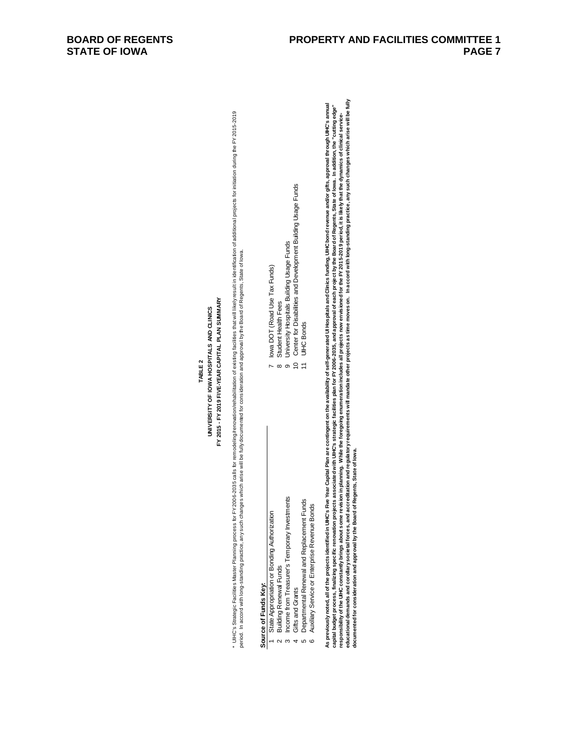## FY 2015 - FY 2019 FIVE-YEAR CAPITAL PLAN SUMMARY **FY 2015 - FY 2019 FIVE-YEAR CAPITAL PLAN SUMMARY** UNIVERSITY OF IOWA HOSPITALS AND CLINICS **UNIVERSITY OF IOWA HOSPITALS AND CLINICS TABLE 2**

\* UHC's Strategic Facilities Master Planning process for FY 2006-2035 calls for remodeling/renovation/tehabiliation of axising facilities that will ikely result in identification of additional projects for initiation durin \* UHC's Strategic Facilities Master Planning process for FY 2006-2005-2005-2005 calls for remodeling/renovation/debalitation of existing facilities will likely result in identification of additional projects for initiation period. In accord with long-standing practice, any such changes which arise will be fully documented for consideration and approval by the Board of Regents, State of Iowa.

7 Iowa DOT (Road Use Tax Funds)

lowa DOT (Road Use Tax Funds)

8 Student Health Fees

Student Health Fees

9 University Hospitals Building Usage Funds

 $\sim \infty$  or  $\approx \frac{1}{2}$ 

University Hospitals Building Usage Funds<br>Center for Disabilities and Development Building Usage Funds

11 UIHC Bonds

**UIHC** Bonds

# Source of Funds Key: **Source of Funds Key:**

- State Appropriation or Bonding Authorization 1 State Appropriation or Bonding Authorization
	- **Building Renewal Funds** 2 Building Renewal Funds  $\sim$
- Income from Treasurer's Temporary Investments 3 Income from Treasurer's Temporary Investments ო
- 4 Gifts and Grants 10 Center for Disabilities and Development Building Usage Funds Gifts and Grants  $\overline{4}$ 
	- Departmental Renewal and Replacement Funds 5 Departmental Renewal and Replacement Funds .<br>სა
		- Auxiliary Service or Enterprise Revenue Bonds 6 Auxiliary Service or Enterprise Revenue Bonds
- As previously noted, all of the projects identified in UHC's Five Year Capital Plan are contingent on the availability of self-generated UI Hospitals and Clinics functing. UIHC bond revenue and/or gifts, approval through U educational demands and accreeditation and regulation and regulatory requirements will mandate other projects as time moves on. In accord with long-standing practice, any such changes which arise will be fully As previously noted, all of the projects identified in UHC's Five Year Capital Plan are contingent on the availability of self-generated UI Hospitals and Cinics funding, UIHC bond revenue and/or gifts, approval through UIH capital budget process, finalizing specific removation projects associated with UHC's strategic facilities plan for FY 2006-2035, and approval of each project by the Board of Regents, State of lowa. In addition, the "cutti responsibility of the UHC constantly brings about some revision in planning. While the foregoing enumeration includes all projects now envisioned for the FY 2015-2019 period, it is likely that the dynamics of clinical serv **documented for consideration and approval by the Board of Regents, State of Iowa.**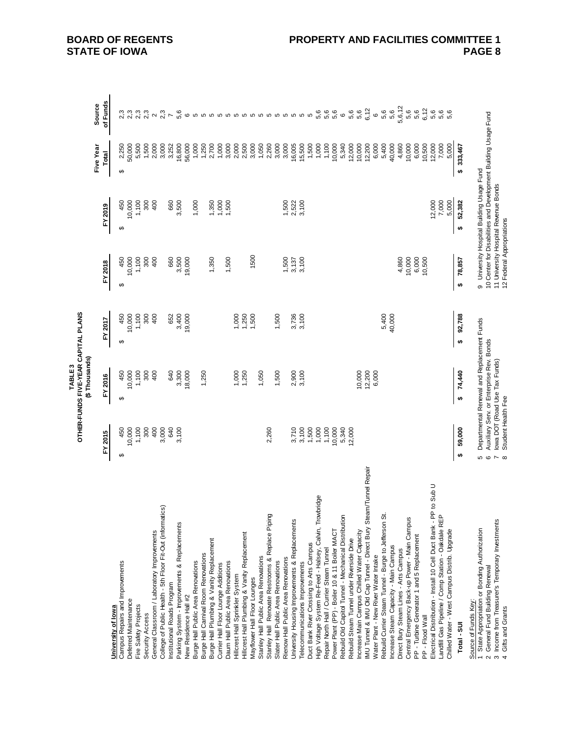|                                                                                                           |                                       | OTHER-FUNDS FIVE-YEAR CAPITAL PLANS<br>TABLE <sub>3</sub>                              |                     |                                                |                                                                                                             |                               |                                 |
|-----------------------------------------------------------------------------------------------------------|---------------------------------------|----------------------------------------------------------------------------------------|---------------------|------------------------------------------------|-------------------------------------------------------------------------------------------------------------|-------------------------------|---------------------------------|
|                                                                                                           |                                       | (\$Thousands)                                                                          |                     |                                                |                                                                                                             | Five Year                     | Source                          |
|                                                                                                           | FY 2015                               | FY 2016                                                                                | FY 2017             | FY 2018                                        | FY 2019                                                                                                     | Total                         | of Funds                        |
| University of lowa                                                                                        |                                       |                                                                                        |                     |                                                |                                                                                                             |                               |                                 |
| Campus Repairs and Improvements                                                                           | 450<br>မာ                             | 450<br>↮                                                                               | 450<br>69           | 450<br>69                                      | 450<br>မာ                                                                                                   | 2,250<br>↮                    | 2,3                             |
| Deferred Maintenance                                                                                      | 10,000                                | 10,000                                                                                 | 10,000              | 10,000                                         | 10,000                                                                                                      | 50,000                        | 2,3<br>2,3                      |
| Fire Safety Projects<br>Security Access                                                                   | 1,100<br>300                          | 1,100<br>300                                                                           | 1,100<br>300        | 1,100<br>300                                   | 1,100<br>300                                                                                                | 5,500                         | 2,3                             |
|                                                                                                           |                                       | 400                                                                                    | 400                 |                                                | 400                                                                                                         | 1,500                         |                                 |
| College of Public Health - 5th Floor Fit-Out (informatics)<br>General Classroom / Laboratory Improvements | 400<br>3,000                          |                                                                                        |                     | 400                                            |                                                                                                             | 2,000<br>3,000                | $\boldsymbol{\sim}$             |
| Institutional Roads Program                                                                               | 640                                   | 640                                                                                    | 652                 | 660                                            | 660                                                                                                         | 3,252                         | 2,3                             |
| Parking System - Improvements & Replacements                                                              | 3,100                                 | 3,300                                                                                  | 3,400               | 3,500                                          | 3,500                                                                                                       |                               |                                 |
| New Residence Hall #2                                                                                     |                                       | 18,000                                                                                 | 19,000              | 19,000                                         |                                                                                                             | 16,800<br>56,000              | 5,6<br>$\mathbf{\circ}$         |
| Burge Hall Public Area Renovations                                                                        |                                       |                                                                                        |                     |                                                | 1,000                                                                                                       | 1,000                         |                                 |
| Burge Hall Camival Room Renovations                                                                       |                                       | 1,250                                                                                  |                     |                                                |                                                                                                             | 1,250                         |                                 |
| Burge Hall Plumbing & Vanity Replacement                                                                  |                                       |                                                                                        |                     | 1,350                                          | 1,350                                                                                                       | 2,700                         |                                 |
| Currier Hall Floor Lounge Additions                                                                       |                                       |                                                                                        |                     |                                                | 1,000                                                                                                       | 1,000                         |                                 |
| Daum Hall Public Area Renovations                                                                         |                                       |                                                                                        |                     | 1,500                                          | 1,500                                                                                                       | $3,000$<br>$2,500$<br>$2,500$ | o o o o o o o o o o o o o o o o |
| Hillcrest Hall Sprinkler System                                                                           |                                       | 1,000                                                                                  | 1,000               |                                                |                                                                                                             |                               |                                 |
| Hilcrest Hall Plumbing & Vanity Replacement                                                               |                                       | 1,250                                                                                  | 1,250               |                                                |                                                                                                             |                               |                                 |
| Mayflower Hall Floor Lounges                                                                              |                                       |                                                                                        | 1,500               | 1500                                           |                                                                                                             | 3,000                         |                                 |
| Stanley Hall Public Area Renovations                                                                      |                                       | 1,050                                                                                  |                     |                                                |                                                                                                             | 1,050                         |                                 |
| Stanley Hall Renovate Restrooms & Replace Piping                                                          | 2,260                                 |                                                                                        |                     |                                                |                                                                                                             | 2,260<br>3,000                |                                 |
| Slater Hall Public Area Renovations                                                                       |                                       | 1,500                                                                                  | 1,500               |                                                |                                                                                                             |                               |                                 |
| Rienow Hall Public Area Renovations                                                                       |                                       |                                                                                        |                     | 1,500                                          | 1,500                                                                                                       | 3,000                         |                                 |
| University Housing Improvements & Replacements                                                            | 3,710                                 | 2,900                                                                                  | 3,736               | 3,137                                          | 2,522                                                                                                       | 16,005                        |                                 |
| Telecommunications Improvements                                                                           | 3,100                                 | 3,100                                                                                  | 3,100               | 3,100                                          | 3,100                                                                                                       | 15,500<br>1,500               |                                 |
| Duct Bank River Crossing to Arts Campus                                                                   | 1,500                                 |                                                                                        |                     |                                                |                                                                                                             |                               |                                 |
| High Voltage System Re-Feed - Halsey, Calvin, Trowbridge                                                  | 1,000                                 |                                                                                        |                     |                                                |                                                                                                             | 1,000                         | 6 6 6<br>ທິທິທິ                 |
| Repair North Hall / Currier Steam Tunnel                                                                  | 1,100                                 |                                                                                        |                     |                                                |                                                                                                             | 1,100                         |                                 |
| Power Plant (PP) - Boiler 10 & 11 Boiler MACT                                                             | 10,000                                |                                                                                        |                     |                                                |                                                                                                             | 10,000                        |                                 |
| Rebuild Old Capitol Tunnel - Mechanical Distribution                                                      | 5,340                                 |                                                                                        |                     |                                                |                                                                                                             | 5,340                         | $\circ$                         |
| Rebuild Steam Tunnel under Riverside Drive                                                                | 12,000                                |                                                                                        |                     |                                                |                                                                                                             | 12,000                        | 6 ທ<br>6 ທີ 12<br>6 ທີ          |
| Increase Main Campus Chilled Water Capacity                                                               |                                       | 10,000                                                                                 |                     |                                                |                                                                                                             | 10,000                        |                                 |
| IMU Tunnel & IMU Old Cap Tunnel - Direct Bury Steam/Tunnel Repair                                         |                                       | 12,200                                                                                 |                     |                                                |                                                                                                             | 12,200                        |                                 |
| Water Plant - New River Water Intake                                                                      |                                       | 6,000                                                                                  |                     |                                                |                                                                                                             | 6,000                         | $\circ$                         |
| Rebuild Currier Steam Tunnel - Burge to Jefferson St.                                                     |                                       |                                                                                        | 5,400               |                                                |                                                                                                             | 5,400                         | 5,6                             |
| Increase Steam Capacity - Main Campus                                                                     |                                       |                                                                                        | 40,000              |                                                |                                                                                                             | 40,000                        | 5,6                             |
| Direct Bury Steam Lines - Arts Campus                                                                     |                                       |                                                                                        |                     | 4,860                                          |                                                                                                             | 4,860                         | 5,6,12                          |
| Central Emergency Back-up Power - Main Campus                                                             |                                       |                                                                                        |                     | $\begin{array}{c} 10,000 \\ 6,000 \end{array}$ |                                                                                                             | 10,000                        | 5,6                             |
| PP - Turbine Generator 1 and 5 Replacement                                                                |                                       |                                                                                        |                     |                                                |                                                                                                             | 6,000                         | 5,6                             |
| PP - Flood Wall                                                                                           |                                       |                                                                                        |                     | 10,500                                         |                                                                                                             | 10,500                        | 6,12                            |
| to Sub U<br>Electrical Distribution - Install 10 Cell Duct Bank - PP                                      |                                       |                                                                                        |                     |                                                | 12,000                                                                                                      | 12,000                        | 5,6                             |
| Landfill Gas Pipeline / Comp Station - Oakdale REP<br>Chilled Water - West Campus Distrib. Upgrade        |                                       |                                                                                        |                     |                                                | 7,000<br>5,000                                                                                              | 7,000<br>5,000                | 5,6<br>5,6                      |
|                                                                                                           |                                       |                                                                                        |                     |                                                |                                                                                                             |                               |                                 |
| Total - SUI                                                                                               | 59,000<br>₩                           | 74,440<br>$\bullet$                                                                    | 92,788<br>$\bullet$ | 78,857<br>$\bullet$                            | 52,382<br>\$                                                                                                | \$333,467                     |                                 |
| Source of Funds Key:                                                                                      |                                       |                                                                                        |                     |                                                |                                                                                                             |                               |                                 |
| 1 State Appropriation or Bonding Authorization<br>General Fund Building Renewal<br>$\sim$                 | <b>5 დ</b>                            | Departmental Renewal and Replacement Funds<br>Auxiliary Serv. or Enterprise Rev. Bonds |                     |                                                | 10 Center for Disabilities and Development Building Usage Fund<br>9 University Hospital Building Usage Fund |                               |                                 |
| 3 Income from Treasurer's Temporary Investments                                                           |                                       | lowa DOT (Road Use Tax Funds)                                                          |                     |                                                | 11 University Hospital Revenue Bonds                                                                        |                               |                                 |
| 4 Gifts and Grants                                                                                        | Student Health Fee<br>$\sim$ $\infty$ |                                                                                        |                     | 12 Federal Appropriations                      |                                                                                                             |                               |                                 |

**BOARD OF REGENTS STATE OF IOWA**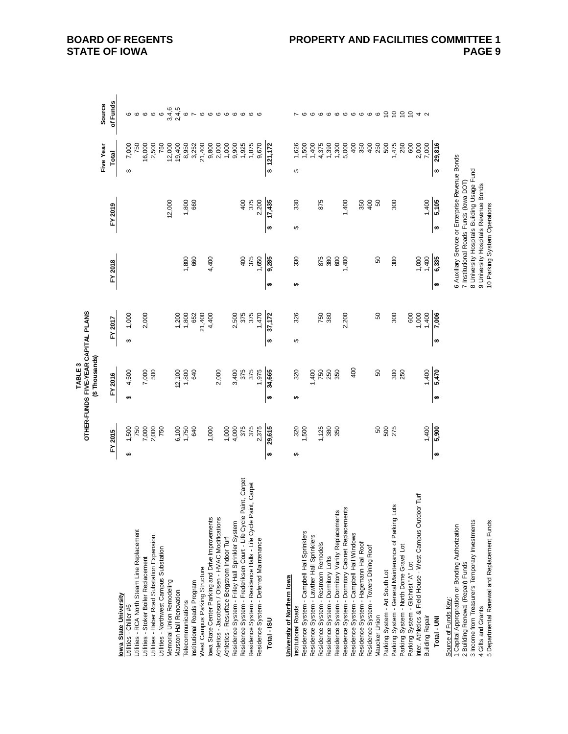|                                                                    |         |        |   | OTHER-FUNDS FIVE-YEAR CAPITAL PLANS<br>(\$Thousands)<br>TABLE3 |           |        |           |                                                 |         |        |    |           |                 |
|--------------------------------------------------------------------|---------|--------|---|----------------------------------------------------------------|-----------|--------|-----------|-------------------------------------------------|---------|--------|----|-----------|-----------------|
|                                                                    |         |        |   |                                                                |           |        |           |                                                 |         |        |    | Five Year | Source          |
|                                                                    | FY 2015 |        |   | FY 2016                                                        | FY 2017   |        | FY 2018   |                                                 | FY 2019 |        |    | Total     | of Funds        |
| owa State University<br>Utilities - Chiller #6                     | ↮       | 1,500  | ↮ | 4,500                                                          | ↮         | 1,000  |           |                                                 |         |        | ↮  | 7,000     | ဖ               |
| Utilities - RCA North Steam Line Replacement                       |         | 750    |   |                                                                |           |        |           |                                                 |         |        |    | 750       | $\circ$         |
| Utilities - Stoker Boiler Replacement                              |         | 7,000  |   | 7,000                                                          |           | 2,000  |           |                                                 |         |        |    | 16,000    | $\mathbf \circ$ |
| Utilities - Haber Road Substation Expansion                        |         | 2,000  |   | 500                                                            |           |        |           |                                                 |         |        |    | 2,500     | $\circ$ $\circ$ |
| Utilities - Northwest Campus Substation                            |         | 750    |   |                                                                |           |        |           |                                                 |         |        |    | 750       |                 |
| Memorial Union Remodeling                                          |         |        |   |                                                                |           |        |           |                                                 |         | 12,000 |    | 12,000    | 3,4,6           |
| Marston Hall Renovation                                            |         | 6,100  |   | 12,100                                                         |           | 1,200  |           |                                                 |         |        |    | 19,400    | 2,4,5           |
| <b>Telecommunications</b>                                          |         | 1,750  |   | 1,800                                                          |           | 1,800  |           | 1,800                                           |         | 1,800  |    | 8,950     | $\mathbf \circ$ |
| Institutional Roads Program                                        |         | 640    |   | 640                                                            |           | 652    |           | 660                                             |         | 660    |    | 3,252     | $\overline{ }$  |
| West Campus Parking Structure                                      |         |        |   |                                                                |           | 21,400 |           |                                                 |         |        |    | 21,400    | $\circ$         |
| lowa State Center Parking and Drive Improvements                   |         | 1,000  |   |                                                                |           | 4,400  |           | 4,400                                           |         |        |    | 9,800     | 000000          |
| Athletics - Jacobson / Olsen - HVAC Modifications                  |         |        |   | 2,000                                                          |           |        |           |                                                 |         |        |    | 2,000     |                 |
| Athletics - Resurface Bergstrom Indoor Turf                        |         | 1,000  |   |                                                                |           |        |           |                                                 |         |        |    | 1,000     |                 |
| Residence System - Friley Hall Sprinkler System                    |         | 4,000  |   | 3,400                                                          |           | 2,500  |           |                                                 |         |        |    | 9,900     |                 |
| Residence System - Frederiksen Court - Life Cycle Paint, Carpet    |         | 375    |   | 375                                                            |           | 375    |           | 400                                             |         | 400    |    | 1,925     |                 |
| Residence System - Residence Halls - Life Cycle Paint, Carpet      |         | 375    |   | 375                                                            |           | 375    |           | 375                                             |         | 375    |    | 1,875     | ဖဖ              |
| Residence System - Deferred Maintenance                            |         | 2,375  |   | 1,975                                                          |           | 1,470  |           | 1,650                                           |         | 2,200  |    | 9,670     |                 |
| Total - ISU                                                        | ₩       | 29,615 | ₩ | 34,665                                                         | $\bullet$ | 37,172 | ₩         | 9,285                                           | ₩       | 17,435 | မာ | 121,172   |                 |
|                                                                    |         |        |   |                                                                |           |        |           |                                                 |         |        |    |           |                 |
| University of Northern lowa                                        |         |        |   |                                                                |           |        |           |                                                 |         |        |    |           |                 |
| Institutional Roads                                                | ↮       | 320    | ↮ | 320                                                            | ↮         | 326    | ↮         | 330                                             | ↮       | 330    | ↮  | 1,626     |                 |
| Residence System - Campbell Hall Sprinklers                        |         | 1,500  |   |                                                                |           |        |           |                                                 |         |        |    | 1,500     |                 |
| Residence System - Lawther Hall Sprinklers                         |         |        |   | 1,400                                                          |           |        |           |                                                 |         |        |    | 1,400     |                 |
| Residence System - Restroom Remodels                               |         | 1,125  |   | 750                                                            |           | 750    |           | 875                                             |         | 875    |    | 4,375     |                 |
| Residence System - Domitory Lofts                                  |         | 380    |   | 250<br>350                                                     |           | 380    |           | 380                                             |         |        |    | 1,390     |                 |
| Residence System - Dormitory Vanity Replacements                   |         | 350    |   |                                                                |           |        |           | 600                                             |         |        |    | 1,300     |                 |
| Residence System - Domitory Cabinet Replacements                   |         |        |   |                                                                |           | 2,200  |           | 1,400                                           |         | 1,400  |    | 5,000     |                 |
| Residence System - Campbell Hall Windows                           |         |        |   | 400                                                            |           |        |           |                                                 |         |        |    | 400       |                 |
| Residence System - Hagemann Hall Roof                              |         |        |   |                                                                |           |        |           |                                                 |         | 350    |    | 350       |                 |
| Residence System - Towers Dining Roof                              |         |        |   |                                                                |           |        |           |                                                 |         | 400    |    | 400       |                 |
| Maucker Union                                                      |         | 50     |   | 8                                                              |           | 50     |           | 50                                              |         | 50     |    | 250       |                 |
| Parking System - Art South Lot                                     |         | 500    |   |                                                                |           |        |           |                                                 |         |        |    | 500       |                 |
| Parking System - General Maintenance of Parking Lots               |         | 275    |   | 300                                                            |           | 300    |           | 300                                             |         | 300    |    | 1,475     |                 |
| Parking System - North Dome Gravel Lot                             |         |        |   | 250                                                            |           |        |           |                                                 |         |        |    | 250       |                 |
| Parking System - Gilchrist "A" Lot                                 |         |        |   |                                                                |           | 600    |           |                                                 |         |        |    | 600       | 666666666622242 |
| Turf<br>Inter. Athletics & Field House - West Campus Outdoor       |         |        |   |                                                                |           | 1,000  |           | 1,000                                           |         |        |    | 2,000     |                 |
| <b>Building Repair</b>                                             |         | 1,400  |   | 1,400                                                          |           | 1,400  |           | 1,400                                           |         | 1,400  |    | 7,000     |                 |
| Total - UNI                                                        | ₩       | 5,900  | ₩ | 5,470                                                          | $\bullet$ | 7,006  | $\bullet$ | 6,335                                           | ₩       | 5,105  | ₩  | 29,816    |                 |
| Source of Funds Key:                                               |         |        |   |                                                                |           |        |           |                                                 |         |        |    |           |                 |
| 1 Capital Appropriation or Bonding Authorization                   |         |        |   |                                                                |           |        |           | 6 Auxiliary Service or Enterprise Revenue Bonds |         |        |    |           |                 |
| 2 Building Renewal (Repair) Funds                                  |         |        |   |                                                                |           |        |           | 7 Institutional Roads Funds (lowa DOT)          |         |        |    |           |                 |
| 3 Income from Treasurer's Temporary Investments                    |         |        |   |                                                                |           |        |           | 8 University Hospitals Building Usage Fund      |         |        |    |           |                 |
| 4 Gifts and Grants<br>5 Departmental Renewal and Replacement Funds |         |        |   |                                                                |           |        |           | 9 University Hospitals Revenue Bonds            |         |        |    |           |                 |
|                                                                    |         |        |   |                                                                |           |        |           | 10 Parking System Operations                    |         |        |    |           |                 |

**BOARD OF REGENTS STATE OF IOWA**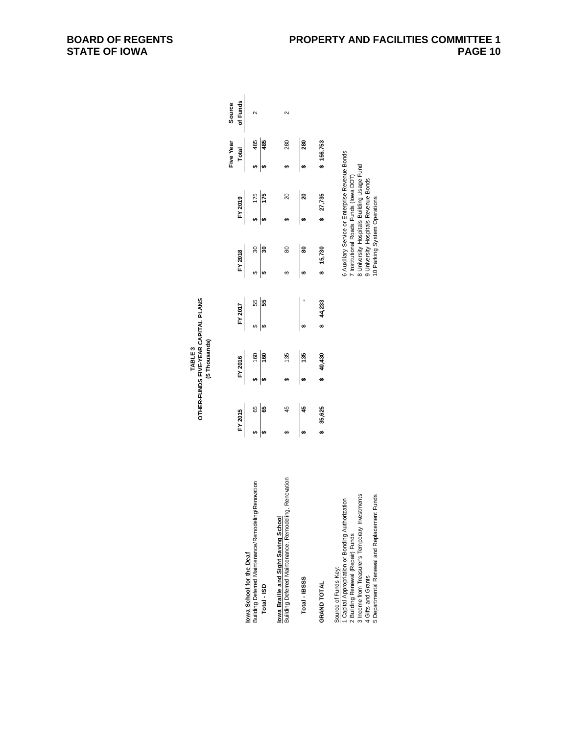| lowa School for the Deaf                                                                                                                                                                                                             | $FY$ 2015        | FY 2016          |                 | FY 2017 |                                                      | $FY$ 2018                                                   |                              | $FY$ 2019                                                                                                                                                                   | Five Year | Total   | of Funds<br>Source |
|--------------------------------------------------------------------------------------------------------------------------------------------------------------------------------------------------------------------------------------|------------------|------------------|-----------------|---------|------------------------------------------------------|-------------------------------------------------------------|------------------------------|-----------------------------------------------------------------------------------------------------------------------------------------------------------------------------|-----------|---------|--------------------|
| Building Deferred Maintenance/Remodeling/Renovation<br>Total-ISD                                                                                                                                                                     | 65<br> <br> <br> | $\frac{60}{160}$ |                 |         | $\begin{array}{c c} & 55 \\ \hline & 55 \end{array}$ | $\begin{array}{c c}\n\circ & 30 \\ \circ & 30\n\end{array}$ |                              | $\frac{175}{175}$                                                                                                                                                           |           | 485     |                    |
| Renovation<br>Building Deferred Maintenance, Remodeling,<br>lowa Braille and Sight Saving School                                                                                                                                     | 45               |                  | $\frac{135}{ }$ |         |                                                      | 80                                                          |                              | 20                                                                                                                                                                          |           | 280     | 2                  |
| Total-IBSSS                                                                                                                                                                                                                          | 45               | $\frac{135}{ }$  |                 |         |                                                      | <b>80</b>                                                   |                              | $\frac{20}{20}$                                                                                                                                                             |           | 880     |                    |
| <b>GRAND TOTAL</b>                                                                                                                                                                                                                   | 35,625           |                  | 40,430          |         | 44,233                                               | 15,730                                                      |                              | 27,735                                                                                                                                                                      |           | 156,753 |                    |
| 3 Income from Treasurer's Temporary Investments<br>5 Departmental Renewal and Replacement Funds<br>Capital Appropriation or Bonding Authorization<br>2 Building Renewal (Repair) Funds<br>Source of Funds Key:<br>4 Gifts and Grants |                  |                  |                 |         |                                                      |                                                             | 10 Parking System Operations | 6 Auxiliary Service or Enterprise Revenue Bonds<br>University Hospitals Building Usage Fund<br>Institutional Roads Funds (lowa DOT)<br>9 University Hospitals Revenue Bonds |           |         |                    |

### TABLE 3<br>OTHER-FUNDS FIVE-YEAR CAPITAL PLANS<br>(\$ Thousands) **OTHER-FUNDS FIVE-YEAR CAPITAL PLANS (\$ Thousands)TABLE 3**

**BOARD OF REGENTS STATE OF IOWA**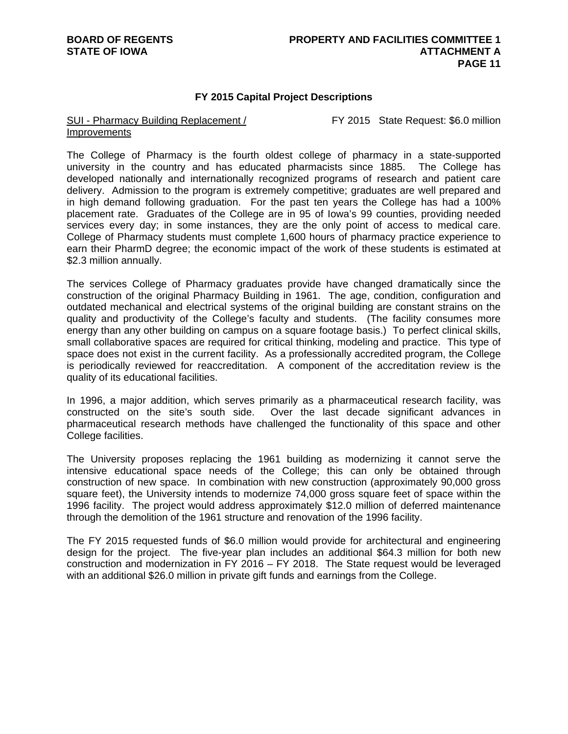### **FY 2015 Capital Project Descriptions**

#### SUI - Pharmacy Building Replacement / Improvements

FY 2015 State Request: \$6.0 million

The College of Pharmacy is the fourth oldest college of pharmacy in a state-supported university in the country and has educated pharmacists since 1885. The College has developed nationally and internationally recognized programs of research and patient care delivery. Admission to the program is extremely competitive; graduates are well prepared and in high demand following graduation. For the past ten years the College has had a 100% placement rate. Graduates of the College are in 95 of Iowa's 99 counties, providing needed services every day; in some instances, they are the only point of access to medical care. College of Pharmacy students must complete 1,600 hours of pharmacy practice experience to earn their PharmD degree; the economic impact of the work of these students is estimated at \$2.3 million annually.

The services College of Pharmacy graduates provide have changed dramatically since the construction of the original Pharmacy Building in 1961. The age, condition, configuration and outdated mechanical and electrical systems of the original building are constant strains on the quality and productivity of the College's faculty and students. (The facility consumes more energy than any other building on campus on a square footage basis.) To perfect clinical skills, small collaborative spaces are required for critical thinking, modeling and practice. This type of space does not exist in the current facility. As a professionally accredited program, the College is periodically reviewed for reaccreditation. A component of the accreditation review is the quality of its educational facilities.

In 1996, a major addition, which serves primarily as a pharmaceutical research facility, was constructed on the site's south side. Over the last decade significant advances in pharmaceutical research methods have challenged the functionality of this space and other College facilities.

The University proposes replacing the 1961 building as modernizing it cannot serve the intensive educational space needs of the College; this can only be obtained through construction of new space. In combination with new construction (approximately 90,000 gross square feet), the University intends to modernize 74,000 gross square feet of space within the 1996 facility. The project would address approximately \$12.0 million of deferred maintenance through the demolition of the 1961 structure and renovation of the 1996 facility.

The FY 2015 requested funds of \$6.0 million would provide for architectural and engineering design for the project. The five-year plan includes an additional \$64.3 million for both new construction and modernization in FY 2016 – FY 2018. The State request would be leveraged with an additional \$26.0 million in private gift funds and earnings from the College.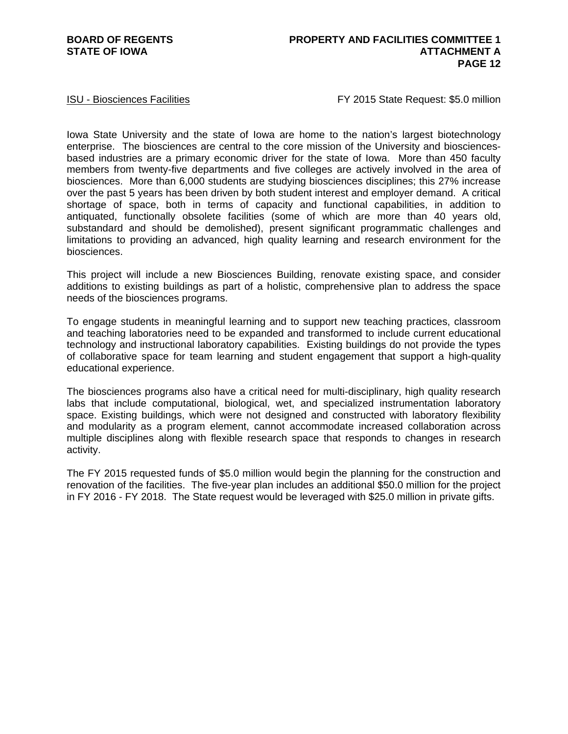ISU - Biosciences Facilities **FRACISTS** FY 2015 State Request: \$5.0 million

Iowa State University and the state of Iowa are home to the nation's largest biotechnology enterprise. The biosciences are central to the core mission of the University and biosciencesbased industries are a primary economic driver for the state of Iowa. More than 450 faculty members from twenty-five departments and five colleges are actively involved in the area of biosciences. More than 6,000 students are studying biosciences disciplines; this 27% increase over the past 5 years has been driven by both student interest and employer demand. A critical shortage of space, both in terms of capacity and functional capabilities, in addition to antiquated, functionally obsolete facilities (some of which are more than 40 years old, substandard and should be demolished), present significant programmatic challenges and limitations to providing an advanced, high quality learning and research environment for the biosciences.

This project will include a new Biosciences Building, renovate existing space, and consider additions to existing buildings as part of a holistic, comprehensive plan to address the space needs of the biosciences programs.

To engage students in meaningful learning and to support new teaching practices, classroom and teaching laboratories need to be expanded and transformed to include current educational technology and instructional laboratory capabilities. Existing buildings do not provide the types of collaborative space for team learning and student engagement that support a high-quality educational experience.

The biosciences programs also have a critical need for multi-disciplinary, high quality research labs that include computational, biological, wet, and specialized instrumentation laboratory space. Existing buildings, which were not designed and constructed with laboratory flexibility and modularity as a program element, cannot accommodate increased collaboration across multiple disciplines along with flexible research space that responds to changes in research activity.

The FY 2015 requested funds of \$5.0 million would begin the planning for the construction and renovation of the facilities. The five-year plan includes an additional \$50.0 million for the project in FY 2016 - FY 2018. The State request would be leveraged with \$25.0 million in private gifts.